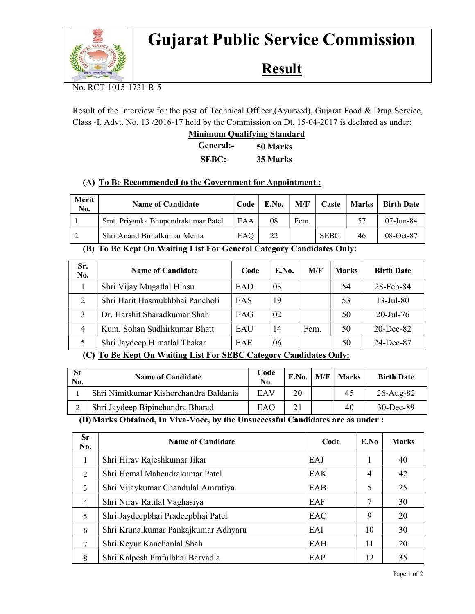

# Gujarat Public Service Commission

## **Result**

No. RCT-1015-1731-R-5

Result of the Interview for the post of Technical Officer,(Ayurved), Gujarat Food & Drug Service, Class -I, Advt. No. 13 /2016-17 held by the Commission on Dt. 15-04-2017 is declared as under:

|               | <b>Minimum Qualifying Standard</b> |  |  |  |  |
|---------------|------------------------------------|--|--|--|--|
| General:-     | 50 Marks                           |  |  |  |  |
| <b>SEBC:-</b> | 35 Marks                           |  |  |  |  |

#### (A) To Be Recommended to the Government for Appointment :

| Merit<br>No.                                                                                                                                                       | <b>Name of Candidate</b>           | Code | E.No. | M/F  | Caste       | Marks | <b>Birth Date</b> |
|--------------------------------------------------------------------------------------------------------------------------------------------------------------------|------------------------------------|------|-------|------|-------------|-------|-------------------|
|                                                                                                                                                                    | Smt. Priyanka Bhupendrakumar Patel | EAA  | 08    | Fem. |             |       | $07 - Jun - 84$   |
| 2                                                                                                                                                                  | Shri Anand Bimalkumar Mehta        | EAQ  | 22    |      | <b>SEBC</b> | 46    | 08-Oct-87         |
| $\cdots$<br>$\sim$<br>$(\mathbf{m} \cdot \mathbf{m} \cdot \mathbf{n} \cdot \mathbf{r})$<br>$\mathbf{X}$ and $\mathbf{X}$<br>$\sim$<br>$\sim$ $\cdot$<br><b>T T</b> |                                    |      |       |      |             |       |                   |

#### (B) To Be Kept On Waiting List For General Category Candidates Only:

| Sr.<br>No.     | <b>Name of Candidate</b>        | Code | E.No. | M/F  | <b>Marks</b> | <b>Birth Date</b> |
|----------------|---------------------------------|------|-------|------|--------------|-------------------|
|                | Shri Vijay Mugatlal Hinsu       | EAD  | 03    |      | 54           | 28-Feb-84         |
|                | Shri Harit Hasmukhbhai Pancholi | EAS  | 19    |      | 53           | $13$ -Jul-80      |
|                | Dr. Harshit Sharadkumar Shah    | EAG  | 02    |      | 50           | $20$ -Jul-76      |
| $\overline{4}$ | Kum. Sohan Sudhirkumar Bhatt    | EAU  | 14    | Fem. | 50           | $20$ -Dec-82      |
|                | Shri Jaydeep Himatlal Thakar    | EAE  | 06    |      | 50           | 24-Dec-87         |

### (C) To Be Kept On Waiting List For SEBC Category Candidates Only:

| <b>Sr</b><br>No. | <b>Name of Candidate</b>               | Code<br>No. | E.No. | M/F | Marks | <b>Birth Date</b> |
|------------------|----------------------------------------|-------------|-------|-----|-------|-------------------|
|                  | Shri Nimitkumar Kishorchandra Baldania | EAV         | 20    |     | 45    | $26$ -Aug-82      |
| ∠                | Shri Jaydeep Bipinchandra Bharad       | EAO         |       |     | 40    | $30$ -Dec-89      |

(D)Marks Obtained, In Viva-Voce, by the Unsuccessful Candidates are as under :

| <b>Sr</b><br>No. | <b>Name of Candidate</b>             | Code | E.No | <b>Marks</b> |
|------------------|--------------------------------------|------|------|--------------|
|                  | Shri Hirav Rajeshkumar Jikar         | EAJ  |      | 40           |
| $\mathfrak{D}$   | Shri Hemal Mahendrakumar Patel       | EAK  | 4    | 42           |
| 3                | Shri Vijaykumar Chandulal Amrutiya   | EAB  | 5    | 25           |
| $\overline{4}$   | Shri Nirav Ratilal Vaghasiya         | EAF  |      | 30           |
| 5                | Shri Jaydeepbhai Pradeepbhai Patel   | EAC  | 9    | 20           |
| 6                | Shri Krunalkumar Pankajkumar Adhyaru | EAI  | 10   | 30           |
| 7                | Shri Keyur Kanchanlal Shah           | EAH  | 11   | 20           |
| 8                | Shri Kalpesh Prafulbhai Barvadia     | EAP  | 12   | 35           |